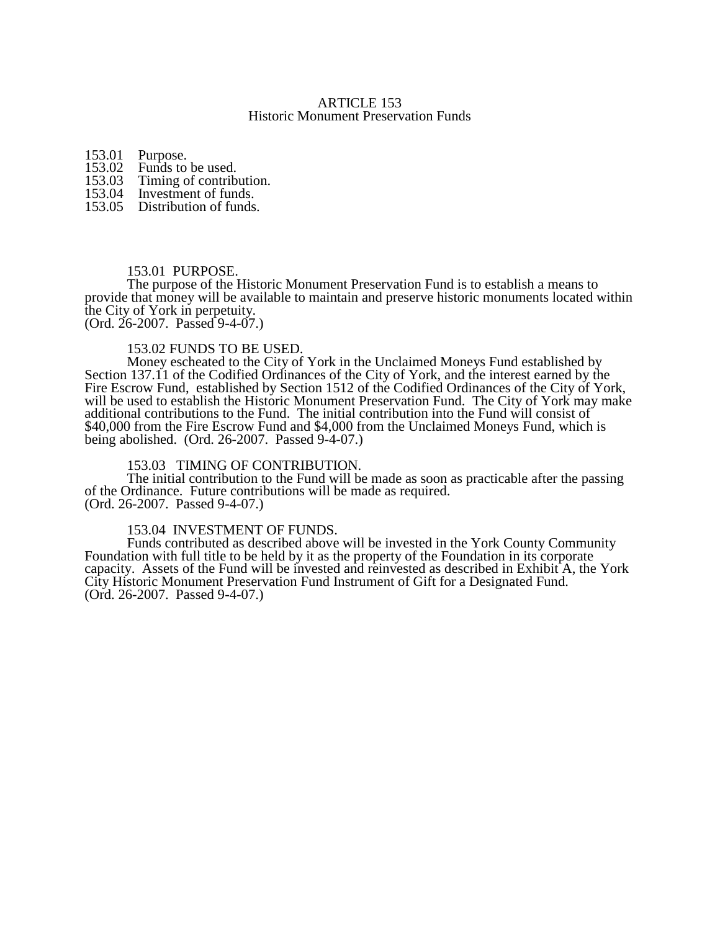## ARTICLE 153 Historic Monument Preservation Funds

153.01 Purpose.<br>153.02 Funds to

153.02 Funds to be used.<br>153.03 Timing of contrib

- 153.03 Timing of contribution.<br>153.04 Investment of funds.
- Investment of funds.
- 153.05 Distribution of funds.

## 153.01 PURPOSE.

The purpose of the Historic Monument Preservation Fund is to establish a means to provide that money will be available to maintain and preserve historic monuments located within the City of York in perpetuity. (Ord. 26-2007. Passed 9-4-07.)

#### 153.02 FUNDS TO BE USED.

Money escheated to the City of York in the Unclaimed Moneys Fund established by Section 137.11 of the Codified Ordinances of the City of York, and the interest earned by the Fire Escrow Fund, established by Section 1512 of the Codified Ordinances of the City of York, will be used to establish the Historic Monument Preservation Fund. The City of York may make additional contributions to the Fund. The initial contribution into the Fund will consist of \$40,000 from the Fire Escrow Fund and \$4,000 from the Unclaimed Moneys Fund, which is being abolished. (Ord. 26-2007. Passed 9-4-07.)

## 153.03 TIMING OF CONTRIBUTION.

The initial contribution to the Fund will be made as soon as practicable after the passing of the Ordinance. Future contributions will be made as required. (Ord. 26-2007. Passed 9-4-07.)

#### 153.04 INVESTMENT OF FUNDS.

Funds contributed as described above will be invested in the York County Community Foundation with full title to be held by it as the property of the Foundation in its corporate capacity. Assets of the Fund will be invested and reinvested as described in Exhibit A, the York City Historic Monument Preservation Fund Instrument of Gift for a Designated Fund. (Ord. 26-2007. Passed 9-4-07.)